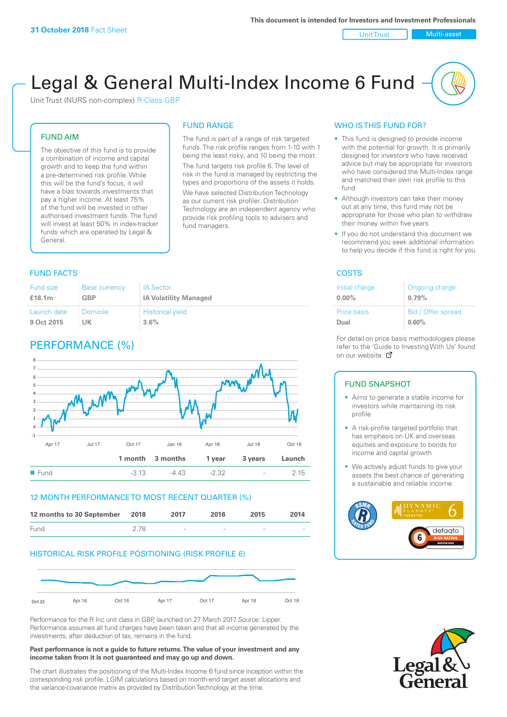#### Unit Trust Nulti-asset

# Legal & General Multi-Index Income 6 Fund

The fund is part of a range of risk targeted funds. The risk profile ranges from 1-10 with 1 being the least risky, and 10 being the most. The fund targets risk profile 6. The level of risk in the fund is managed by restricting the types and proportions of the assets it holds. We have selected Distribution Technology as our current risk profiler. Distribution Technology are an independent agency who provide risk profiling tools to advisers and

FUND RANGE

fund managers.

Unit Trust (NURS non-complex) R-Class GBP

## FUND AIM

The objective of this fund is to provide a combination of income and capital growth and to keep the fund within a pre-determined risk profile. While this will be the fund's focus, it will have a bias towards investments that pay a higher income. At least 75% of the fund will be invested in other authorised investment funds. The fund will invest at least 50% in index-tracker funds which are operated by Legal & General.

#### Fund size **£18.1m** Base currency **GBP** IA Sector **IA Volatility Managed** Launch date **9 Oct 2015** Domicile **UK** Historical yield **3.6%**

## PERFORMANCE (%)



## 12 MONTH PERFORMANCE TO MOST RECENT QUARTER (%)



## HISTORICAL RISK PROFILE POSITIONING (RISK PROFILE 6)



Performance for the R Inc unit class in GBP, launched on 27 March 2017. Source: Lipper. Performance assumes all fund charges have been taken and that all income generated by the investments, after deduction of tax, remains in the fund.

#### **Past performance is not a guide to future returns. The value of your investment and any income taken from it is not guaranteed and may go up and down.**

The chart illustrates the positioning of the Multi-Index Income 6 fund since inception within the corresponding risk profile. LGIM calculations based on month-end target asset allocations and the variance-covariance matrix as provided by Distribution Technology at the time.

## WHO IS THIS FUND FOR?

- This fund is designed to provide income with the potential for growth. It is primarily designed for investors who have received advice but may be appropriate for investors who have considered the Multi-Index range and matched their own risk profile to this fund
- Although investors can take their money out at any time, this fund may not be appropriate for those who plan to withdraw their money within five years
- If you do not understand this document we recommend you seek additional information to help you decide if this fund is right for you

#### **FUND FACTS** COSTS

| Initial charge     | Ongoing charge     |
|--------------------|--------------------|
| $0.00\%$           | 0.79%              |
| <b>Price basis</b> | Bid / Offer spread |
| Dual               | 0.60%              |

For detail on price basis methodologies please refer to the 'Gu[ide t](http://www.legalandgeneral.com/guide)o Investing With Us' found on our website. Ø

## FUND SNAPSHOT

- Aims to generate a stable income for investors while maintaining its risk profile
- A risk-profile targeted portfolio that has emphasis on UK and overseas equities and exposure to bonds for income and capital growth
- We actively adjust funds to give your assets the best chance of generating a sustainable and reliable income



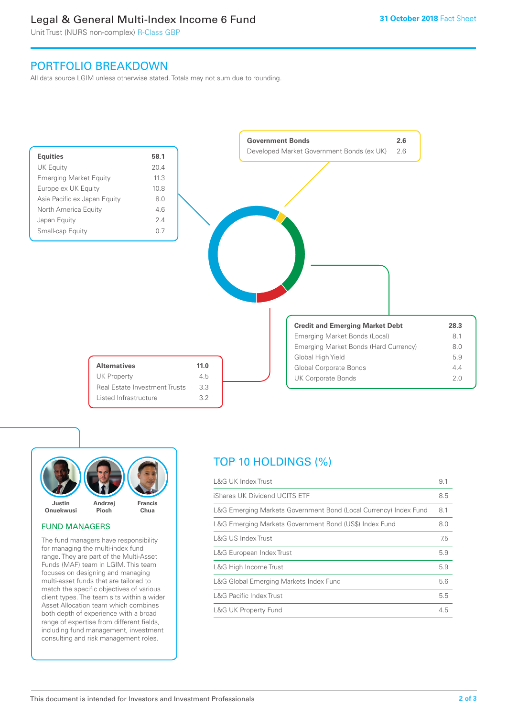## Legal & General Multi-Index Income 6 Fund

Unit Trust (NURS non-complex) R-Class GBP

## PORTFOLIO BREAKDOWN

All data source LGIM unless otherwise stated. Totals may not sum due to rounding.





## FUND MANAGERS

The fund managers have responsibility for managing the multi-index fund range. They are part of the Multi-Asset Funds (MAF) team in LGIM. This team focuses on designing and managing multi-asset funds that are tailored to match the specific objectives of various client types. The team sits within a wider Asset Allocation team which combines both depth of experience with a broad range of expertise from different fields, including fund management, investment consulting and risk management roles.

## TOP 10 HOLDINGS (%)

| <b>L&amp;G UK Index Trust</b>                                    | 9.1 |
|------------------------------------------------------------------|-----|
| iShares UK Dividend UCITS ETF                                    | 8.5 |
| L&G Emerging Markets Government Bond (Local Currency) Index Fund | 8.1 |
| L&G Emerging Markets Government Bond (US\$) Index Fund           | 8.0 |
| L&G US Index Trust                                               | 7.5 |
| L&G European Index Trust                                         | 5.9 |
| L&G High Income Trust                                            | 5.9 |
| L&G Global Emerging Markets Index Fund                           | 5.6 |
| <b>L&amp;G Pacific Index Trust</b>                               | 5.5 |
| <b>L&amp;G UK Property Fund</b>                                  | 4.5 |